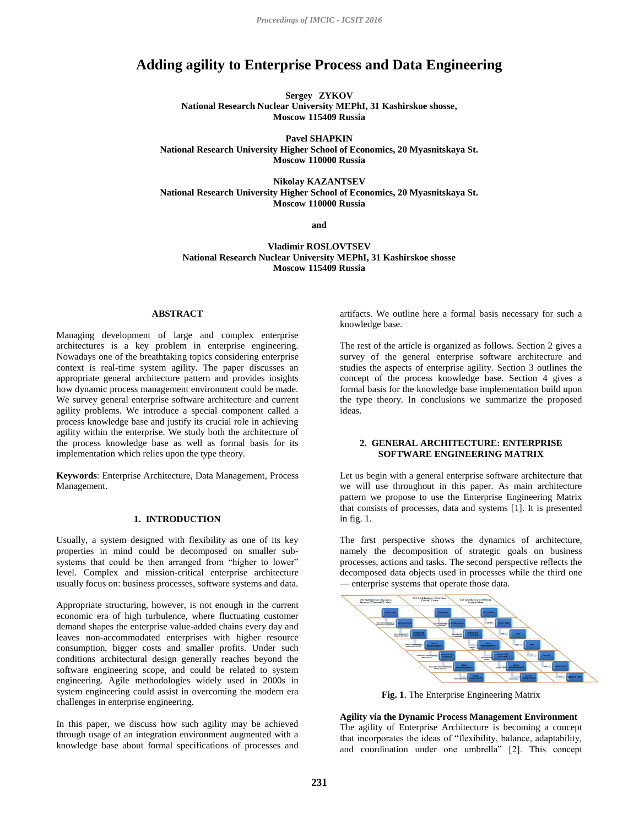# **Adding agility to Enterprise Process and Data Engineering**

**Sergey ZYKOV National Research Nuclear University MEPhI, 31 Kashirskoe shosse, Moscow 115409 Russia**

**Pavel SHAPKIN National Research University Higher School of Economics, 20 Myasnitskaya St. Moscow 110000 Russia**

**Nikolay KAZANTSEV National Research University Higher School of Economics, 20 Myasnitskaya St. Moscow 110000 Russia**

**and**

**Vladimir ROSLOVTSEV National Research Nuclear University MEPhI, 31 Kashirskoe shosse Moscow 115409 Russia**

#### **ABSTRACT**

Managing development of large and complex enterprise architectures is a key problem in enterprise engineering. Nowadays one of the breathtaking topics considering enterprise context is real-time system agility. The paper discusses an appropriate general architecture pattern and provides insights how dynamic process management environment could be made. We survey general enterprise software architecture and current agility problems. We introduce a special component called a process knowledge base and justify its crucial role in achieving agility within the enterprise. We study both the architecture of the process knowledge base as well as formal basis for its implementation which relies upon the type theory.

**Keywords**: Enterprise Architecture, Data Management, Process Management.

# **1. INTRODUCTION**

Usually, a system designed with flexibility as one of its key properties in mind could be decomposed on smaller subsystems that could be then arranged from "higher to lower" level. Complex and mission-critical enterprise architecture usually focus on: business processes, software systems and data.

Appropriate structuring, however, is not enough in the current economic era of high turbulence, where fluctuating customer demand shapes the enterprise value-added chains every day and leaves non-accommodated enterprises with higher resource consumption, bigger costs and smaller profits. Under such conditions architectural design generally reaches beyond the software engineering scope, and could be related to system engineering. Agile methodologies widely used in 2000s in system engineering could assist in overcoming the modern era challenges in enterprise engineering.

In this paper, we discuss how such agility may be achieved through usage of an integration environment augmented with a knowledge base about formal specifications of processes and

artifacts. We outline here a formal basis necessary for such a knowledge base.

The rest of the article is organized as follows. Section 2 gives a survey of the general enterprise software architecture and studies the aspects of enterprise agility. Section 3 outlines the concept of the process knowledge base. Section 4 gives a formal basis for the knowledge base implementation build upon the type theory. In conclusions we summarize the proposed ideas.

# **2. GENERAL ARCHITECTURE: ENTERPRISE SOFTWARE ENGINEERING MATRIX**

Let us begin with a general enterprise software architecture that we will use throughout in this paper. As main architecture pattern we propose to use the Enterprise Engineering Matrix that consists of processes, data and systems [1]. It is presented in fig. 1.

The first perspective shows the dynamics of architecture, namely the decomposition of strategic goals on business processes, actions and tasks. The second perspective reflects the decomposed data objects used in processes while the third one — enterprise systems that operate those data.



**Fig. 1**. The Enterprise Engineering Matrix

**Agility via the Dynamic Process Management Environment** The agility of Enterprise Architecture is becoming a concept that incorporates the ideas of "flexibility, balance, adaptability, and coordination under one umbrella" [2]. This concept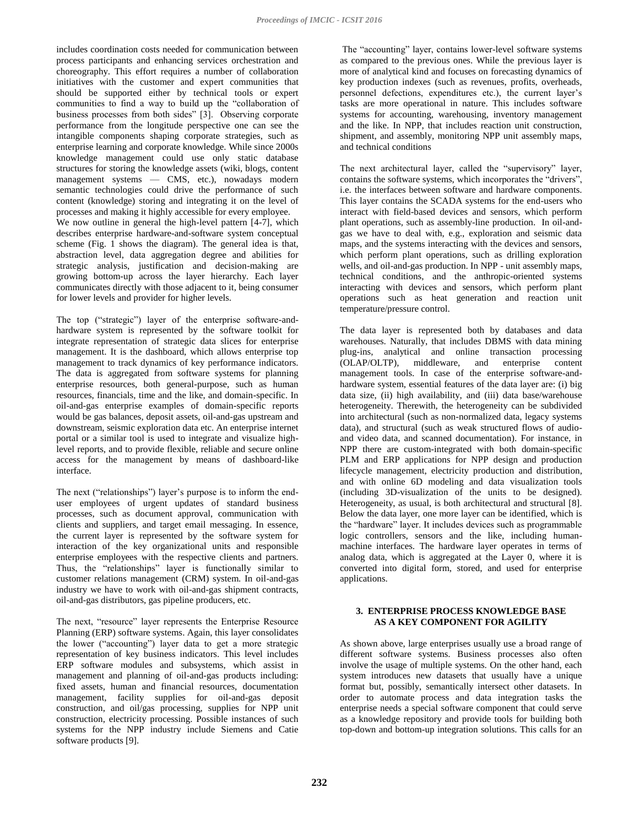includes coordination costs needed for communication between process participants and enhancing services orchestration and choreography. This effort requires a number of collaboration initiatives with the customer and expert communities that should be supported either by technical tools or expert communities to find a way to build up the "collaboration of business processes from both sides" [3]. Observing corporate performance from the longitude perspective one can see the intangible components shaping corporate strategies, such as enterprise learning and corporate knowledge. While since 2000s knowledge management could use only static database structures for storing the knowledge assets (wiki, blogs, content management systems — CMS, etc.), nowadays modern semantic technologies could drive the performance of such content (knowledge) storing and integrating it on the level of processes and making it highly accessible for every employee.

We now outline in general the high-level pattern [4-7], which describes enterprise hardware-and-software system conceptual scheme (Fig. 1 shows the diagram). The general idea is that, abstraction level, data aggregation degree and abilities for strategic analysis, justification and decision-making are growing bottom-up across the layer hierarchy. Each layer communicates directly with those adjacent to it, being consumer for lower levels and provider for higher levels.

The top ("strategic") layer of the enterprise software-andhardware system is represented by the software toolkit for integrate representation of strategic data slices for enterprise management. It is the dashboard, which allows enterprise top management to track dynamics of key performance indicators. The data is aggregated from software systems for planning enterprise resources, both general-purpose, such as human resources, financials, time and the like, and domain-specific. In oil-and-gas enterprise examples of domain-specific reports would be gas balances, deposit assets, oil-and-gas upstream and downstream, seismic exploration data etc. An enterprise internet portal or a similar tool is used to integrate and visualize highlevel reports, and to provide flexible, reliable and secure online access for the management by means of dashboard-like interface.

The next ("relationships") layer's purpose is to inform the enduser employees of urgent updates of standard business processes, such as document approval, communication with clients and suppliers, and target email messaging. In essence, the current layer is represented by the software system for interaction of the key organizational units and responsible enterprise employees with the respective clients and partners. Thus, the "relationships" layer is functionally similar to customer relations management (CRM) system. In oil-and-gas industry we have to work with oil-and-gas shipment contracts, oil-and-gas distributors, gas pipeline producers, etc.

The next, "resource" layer represents the Enterprise Resource Planning (ERP) software systems. Again, this layer consolidates the lower ("accounting") layer data to get a more strategic representation of key business indicators. This level includes ERP software modules and subsystems, which assist in management and planning of oil-and-gas products including: fixed assets, human and financial resources, documentation management, facility supplies for oil-and-gas deposit construction, and oil/gas processing, supplies for NPP unit construction, electricity processing. Possible instances of such systems for the NPP industry include Siemens and Catie software products [9].

The "accounting" layer, contains lower-level software systems as compared to the previous ones. While the previous layer is more of analytical kind and focuses on forecasting dynamics of key production indexes (such as revenues, profits, overheads, personnel defections, expenditures etc.), the current layer's tasks are more operational in nature. This includes software systems for accounting, warehousing, inventory management and the like. In NPP, that includes reaction unit construction, shipment, and assembly, monitoring NPP unit assembly maps, and technical conditions

The next architectural layer, called the "supervisory" layer, contains the software systems, which incorporates the "drivers", i.e. the interfaces between software and hardware components. This layer contains the SCADA systems for the end-users who interact with field-based devices and sensors, which perform plant operations, such as assembly-line production. In oil-andgas we have to deal with, e.g., exploration and seismic data maps, and the systems interacting with the devices and sensors, which perform plant operations, such as drilling exploration wells, and oil-and-gas production. In NPP - unit assembly maps, technical conditions, and the anthropic-oriented systems interacting with devices and sensors, which perform plant operations such as heat generation and reaction unit temperature/pressure control.

The data layer is represented both by databases and data warehouses. Naturally, that includes DBMS with data mining plug-ins, analytical and online transaction processing (OLAP/OLTP), middleware, and enterprise content management tools. In case of the enterprise software-andhardware system, essential features of the data layer are: (i) big data size, (ii) high availability, and (iii) data base/warehouse heterogeneity. Therewith, the heterogeneity can be subdivided into architectural (such as non-normalized data, legacy systems data), and structural (such as weak structured flows of audioand video data, and scanned documentation). For instance, in NPP there are custom-integrated with both domain-specific PLM and ERP applications for NPP design and production lifecycle management, electricity production and distribution, and with online 6D modeling and data visualization tools (including 3D-visualization of the units to be designed). Heterogeneity, as usual, is both architectural and structural [8]. Below the data layer, one more layer can be identified, which is the "hardware" layer. It includes devices such as programmable logic controllers, sensors and the like, including humanmachine interfaces. The hardware layer operates in terms of analog data, which is aggregated at the Layer 0, where it is converted into digital form, stored, and used for enterprise applications.

# **3. ENTERPRISE PROCESS KNOWLEDGE BASE AS A KEY COMPONENT FOR AGILITY**

As shown above, large enterprises usually use a broad range of different software systems. Business processes also often involve the usage of multiple systems. On the other hand, each system introduces new datasets that usually have a unique format but, possibly, semantically intersect other datasets. In order to automate process and data integration tasks the enterprise needs a special software component that could serve as a knowledge repository and provide tools for building both top-down and bottom-up integration solutions. This calls for an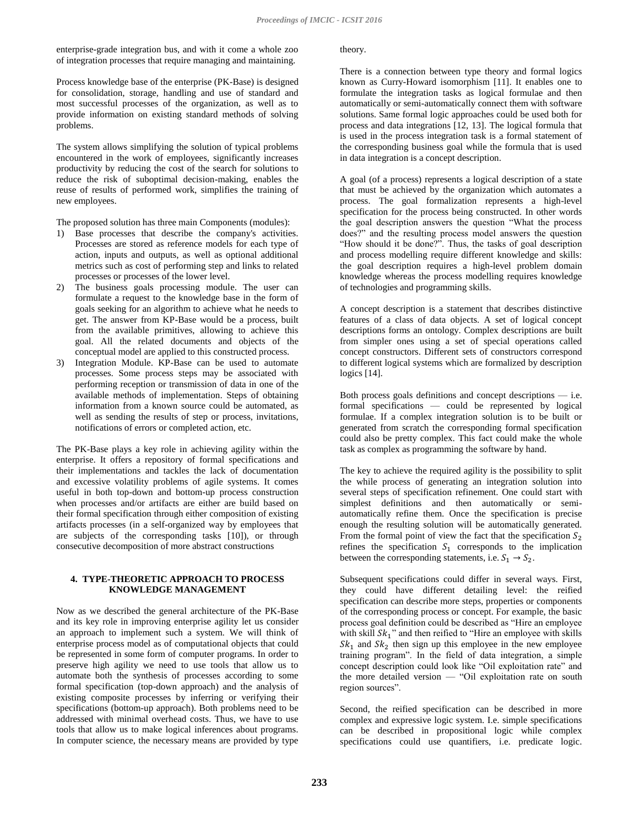enterprise-grade integration bus, and with it come a whole zoo of integration processes that require managing and maintaining.

Process knowledge base of the enterprise (PK-Base) is designed for consolidation, storage, handling and use of standard and most successful processes of the organization, as well as to provide information on existing standard methods of solving problems.

The system allows simplifying the solution of typical problems encountered in the work of employees, significantly increases productivity by reducing the cost of the search for solutions to reduce the risk of suboptimal decision-making, enables the reuse of results of performed work, simplifies the training of new employees.

The proposed solution has three main Components (modules):

- 1) Base processes that describe the company's activities. Processes are stored as reference models for each type of action, inputs and outputs, as well as optional additional metrics such as cost of performing step and links to related processes or processes of the lower level.
- 2) The business goals processing module. The user can formulate a request to the knowledge base in the form of goals seeking for an algorithm to achieve what he needs to get. The answer from KP-Base would be a process, built from the available primitives, allowing to achieve this goal. All the related documents and objects of the conceptual model are applied to this constructed process.
- 3) Integration Module. KP-Base can be used to automate processes. Some process steps may be associated with performing reception or transmission of data in one of the available methods of implementation. Steps of obtaining information from a known source could be automated, as well as sending the results of step or process, invitations, notifications of errors or completed action, etc.

The PK-Base plays a key role in achieving agility within the enterprise. It offers a repository of formal specifications and their implementations and tackles the lack of documentation and excessive volatility problems of agile systems. It comes useful in both top-down and bottom-up process construction when processes and/or artifacts are either are build based on their formal specification through either composition of existing artifacts processes (in a self-organized way by employees that are subjects of the corresponding tasks [10]), or through consecutive decomposition of more abstract constructions

# **4. TYPE-THEORETIC APPROACH TO PROCESS KNOWLEDGE MANAGEMENT**

Now as we described the general architecture of the PK-Base and its key role in improving enterprise agility let us consider an approach to implement such a system. We will think of enterprise process model as of computational objects that could be represented in some form of computer programs. In order to preserve high agility we need to use tools that allow us to automate both the synthesis of processes according to some formal specification (top-down approach) and the analysis of existing composite processes by inferring or verifying their specifications (bottom-up approach). Both problems need to be addressed with minimal overhead costs. Thus, we have to use tools that allow us to make logical inferences about programs. In computer science, the necessary means are provided by type

theory.

There is a connection between type theory and formal logics known as Curry-Howard isomorphism [11]. It enables one to formulate the integration tasks as logical formulae and then automatically or semi-automatically connect them with software solutions. Same formal logic approaches could be used both for process and data integrations [12, 13]. The logical formula that is used in the process integration task is a formal statement of the corresponding business goal while the formula that is used in data integration is a concept description.

A goal (of a process) represents a logical description of a state that must be achieved by the organization which automates a process. The goal formalization represents a high-level specification for the process being constructed. In other words the goal description answers the question "What the process does?" and the resulting process model answers the question "How should it be done?". Thus, the tasks of goal description and process modelling require different knowledge and skills: the goal description requires a high-level problem domain knowledge whereas the process modelling requires knowledge of technologies and programming skills.

A concept description is a statement that describes distinctive features of a class of data objects. A set of logical concept descriptions forms an ontology. Complex descriptions are built from simpler ones using a set of special operations called concept constructors. Different sets of constructors correspond to different logical systems which are formalized by description logics [14].

Both process goals definitions and concept descriptions — i.e. formal specifications — could be represented by logical formulae. If a complex integration solution is to be built or generated from scratch the corresponding formal specification could also be pretty complex. This fact could make the whole task as complex as programming the software by hand.

The key to achieve the required agility is the possibility to split the while process of generating an integration solution into several steps of specification refinement. One could start with simplest definitions and then automatically or semiautomatically refine them. Once the specification is precise enough the resulting solution will be automatically generated. From the formal point of view the fact that the specification  $S_2$ refines the specification  $S_1$  corresponds to the implication between the corresponding statements, i.e.  $S_1 \rightarrow S_2$ .

Subsequent specifications could differ in several ways. First, they could have different detailing level: the reified specification can describe more steps, properties or components of the corresponding process or concept. For example, the basic process goal definition could be described as "Hire an employee with skill  $Sk_1$ " and then reified to "Hire an employee with skills  $Sk_1$  and  $Sk_2$  then sign up this employee in the new employee training program". In the field of data integration, a simple concept description could look like "Oil exploitation rate" and the more detailed version — "Oil exploitation rate on south region sources".

Second, the reified specification can be described in more complex and expressive logic system. I.e. simple specifications can be described in propositional logic while complex specifications could use quantifiers, i.e. predicate logic.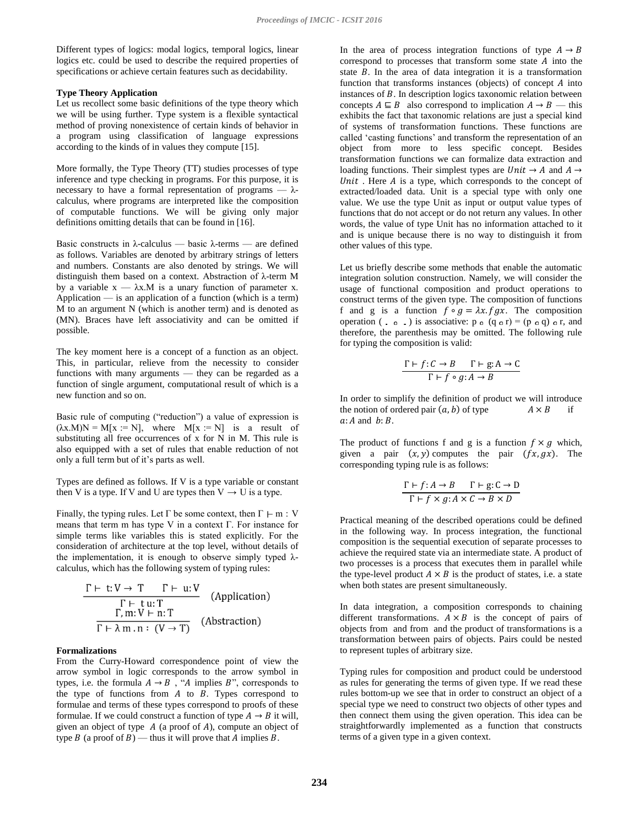Different types of logics: modal logics, temporal logics, linear logics etc. could be used to describe the required properties of specifications or achieve certain features such as decidability.

#### **Type Theory Application**

Let us recollect some basic definitions of the type theory which we will be using further. Type system is a flexible syntactical method of proving nonexistence of certain kinds of behavior in a program using classification of language expressions according to the kinds of in values they compute [15].

More formally, the Type Theory (TT) studies processes of type inference and type checking in programs. For this purpose, it is necessary to have a formal representation of programs —  $\lambda$ calculus, where programs are interpreted like the composition of computable functions. We will be giving only major definitions omitting details that can be found in [16].

Basic constructs in λ-calculus — basic λ-terms — are defined as follows. Variables are denoted by arbitrary strings of letters and numbers. Constants are also denoted by strings. We will distinguish them based on a context. Abstraction of λ-term M by a variable  $x - \lambda x.M$  is a unary function of parameter x. Application — is an application of a function (which is a term) M to an argument N (which is another term) and is denoted as (MN). Braces have left associativity and can be omitted if possible.

The key moment here is a concept of a function as an object. This, in particular, relieve from the necessity to consider functions with many arguments — they can be regarded as a function of single argument, computational result of which is a new function and so on.

Basic rule of computing ("reduction") a value of expression is  $(\lambda x.M)N = M[x := N],$  where  $M[x := N]$  is a result of substituting all free occurrences of x for N in M. This rule is also equipped with a set of rules that enable reduction of not only a full term but of it's parts as well.

Types are defined as follows. If V is a type variable or constant then V is a type. If V and U are types then  $V \rightarrow U$  is a type.

Finally, the typing rules. Let  $\Gamma$  be some context, then  $\Gamma \vdash m : V$ means that term m has type V in a context  $\Gamma$ . For instance for simple terms like variables this is stated explicitly. For the consideration of architecture at the top level, without details of the implementation, it is enough to observe simply typed  $\lambda$ calculus, which has the following system of typing rules:

$$
\frac{\Gamma \vdash t: V \to T \qquad \Gamma \vdash u: V}{\Gamma \vdash t u: T}
$$
 (Application)  
\n
$$
\frac{\Gamma, m: V \vdash n: T}{\Gamma \vdash \lambda m. n: (V \to T)}
$$
 (Abstraction)

### **Formalizations**

From the Curry-Howard correspondence point of view the arrow symbol in logic corresponds to the arrow symbol in types, i.e. the formula  $A \rightarrow B$ , "A implies B", corresponds to the type of functions from  $A$  to  $B$ . Types correspond to formulae and terms of these types correspond to proofs of these formulae. If we could construct a function of type  $A \rightarrow B$  it will, given an object of type  $A$  (a proof of A), compute an object of type  $B$  (a proof of  $B$ ) — thus it will prove that  $A$  implies  $B$ .

In the area of process integration functions of type  $A \rightarrow B$ correspond to processes that transform some state  $A$  into the state  $B$ . In the area of data integration it is a transformation function that transforms instances (objects) of concept  $A$  into instances of  $B$ . In description logics taxonomic relation between concepts  $A \subseteq B$  also correspond to implication  $A \rightarrow B$  — this exhibits the fact that taxonomic relations are just a special kind of systems of transformation functions. These functions are called 'casting functions' and transform the representation of an object from more to less specific concept. Besides transformation functions we can formalize data extraction and loading functions. Their simplest types are  $Unit \rightarrow A$  and  $A \rightarrow$  $Unit$ . Here  $A$  is a type, which corresponds to the concept of extracted/loaded data. Unit is a special type with only one value. We use the type Unit as input or output value types of functions that do not accept or do not return any values. In other words, the value of type Unit has no information attached to it and is unique because there is no way to distinguish it from other values of this type.

Let us briefly describe some methods that enable the automatic integration solution construction. Namely, we will consider the usage of functional composition and product operations to construct terms of the given type. The composition of functions f and g is a function  $f \circ g = \lambda x. f g x$ . The composition operation ( $\circ$ ,  $\circ$ ) is associative: p  $\circ$  (q  $\circ$  r) = (p  $\circ$  q)  $\circ$  r, and therefore, the parenthesis may be omitted. The following rule for typing the composition is valid:

$$
\frac{\Gamma \vdash f : C \to B \qquad \Gamma \vdash g : A \to C}{\Gamma \vdash f \circ g : A \to B}
$$

In order to simplify the definition of product we will introduce the notion of ordered pair  $(a, b)$  of type  $A \times B$  $a$ : A and  $b$ : B.

The product of functions f and g is a function  $f \times g$  which, given a pair  $(x, y)$  computes the pair  $(fx, gx)$ . The corresponding typing rule is as follows:

$$
\frac{\Gamma \vdash f:A \to B \qquad \Gamma \vdash g:C \to D}{\Gamma \vdash f \times g:A \times C \to B \times D}
$$

Practical meaning of the described operations could be defined in the following way. In process integration, the functional composition is the sequential execution of separate processes to achieve the required state via an intermediate state. A product of two processes is a process that executes them in parallel while the type-level product  $A \times B$  is the product of states, i.e. a state when both states are present simultaneously.

In data integration, a composition corresponds to chaining different transformations.  $A \times B$  is the concept of pairs of objects from and from and the product of transformations is a transformation between pairs of objects. Pairs could be nested to represent tuples of arbitrary size.

Typing rules for composition and product could be understood as rules for generating the terms of given type. If we read these rules bottom-up we see that in order to construct an object of a special type we need to construct two objects of other types and then connect them using the given operation. This idea can be straightforwardly implemented as a function that constructs terms of a given type in a given context.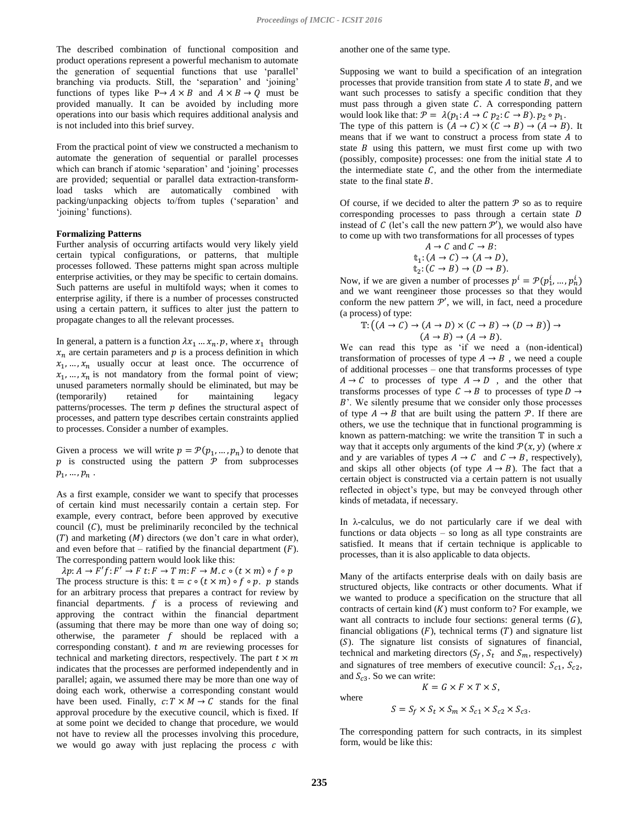The described combination of functional composition and product operations represent a powerful mechanism to automate the generation of sequential functions that use 'parallel' branching via products. Still, the 'separation' and 'joining' functions of types like  $P \rightarrow A \times B$  and  $A \times B \rightarrow Q$  must be provided manually. It can be avoided by including more operations into our basis which requires additional analysis and is not included into this brief survey.

From the practical point of view we constructed a mechanism to automate the generation of sequential or parallel processes which can branch if atomic 'separation' and 'joining' processes are provided; sequential or parallel data extraction-transformload tasks which are automatically combined with packing/unpacking objects to/from tuples ('separation' and 'joining' functions).

# **Formalizing Patterns**

Further analysis of occurring artifacts would very likely yield certain typical configurations, or patterns, that multiple processes followed. These patterns might span across multiple enterprise activities, or they may be specific to certain domains. Such patterns are useful in multifold ways; when it comes to enterprise agility, if there is a number of processes constructed using a certain pattern, it suffices to alter just the pattern to propagate changes to all the relevant processes.

In general, a pattern is a function  $\lambda x_1 \ldots x_n$ .  $p$ , where  $x_1$  through  $x_n$  are certain parameters and  $p$  is a process definition in which  $x_1, \ldots, x_n$  usually occur at least once. The occurrence of  $x_1, ..., x_n$  is not mandatory from the formal point of view; unused parameters normally should be eliminated, but may be (temporarily) retained for maintaining legacy patterns/processes. The term  $p$  defines the structural aspect of processes, and pattern type describes certain constraints applied to processes. Consider a number of examples.

Given a process we will write  $p = \mathcal{P}(p_1, ..., p_n)$  to denote that  $p$  is constructed using the pattern  $\mathcal P$  from subprocesses  $p_1, ..., p_n$ .

As a first example, consider we want to specify that processes of certain kind must necessarily contain a certain step. For example, every contract, before been approved by executive council  $(C)$ , must be preliminarily reconciled by the technical  $(T)$  and marketing  $(M)$  directors (we don't care in what order), and even before that – ratified by the financial department  $(F)$ . The corresponding pattern would look like this:

 $\lambda p: A \to F'f: F' \to F t: F \to T m: F \to M.c \circ (t \times m) \circ f \circ p$ The process structure is this:  $t = c \circ (t \times m) \circ f \circ p$ . *p* stands for an arbitrary process that prepares a contract for review by financial departments.  $f$  is a process of reviewing and approving the contract within the financial department (assuming that there may be more than one way of doing so; otherwise, the parameter  $f$  should be replaced with a corresponding constant).  $t$  and  $m$  are reviewing processes for technical and marketing directors, respectively. The part  $t \times m$ indicates that the processes are performed independently and in parallel; again, we assumed there may be more than one way of doing each work, otherwise a corresponding constant would have been used. Finally,  $c: T \times M \rightarrow C$  stands for the final approval procedure by the executive council, which is fixed. If at some point we decided to change that procedure, we would not have to review all the processes involving this procedure, we would go away with just replacing the process  $c$  with

another one of the same type.

Supposing we want to build a specification of an integration processes that provide transition from state  $A$  to state  $B$ , and we want such processes to satisfy a specific condition that they must pass through a given state  $C$ . A corresponding pattern would look like that:  $\mathcal{P} = \lambda(p_1: A \rightarrow C \ p_2: C \rightarrow B)$ .  $p_2 \circ p_1$ . The type of this pattern is  $(A \to C) \times (C \to B) \to (A \to B)$ . It means that if we want to construct a process from state  $A$  to state  $B$  using this pattern, we must first come up with two (possibly, composite) processes: one from the initial state  $A$  to the intermediate state  $C$ , and the other from the intermediate state to the final state  $B$ .

Of course, if we decided to alter the pattern  $\mathcal P$  so as to require corresponding processes to pass through a certain state  $D$ instead of C (let's call the new pattern  $\mathcal{P}'$ ), we would also have to come up with two transformations for all processes of types

$$
A \to C \text{ and } C \to B:
$$
  
\n
$$
t_1: (A \to C) \to (A \to D),
$$
  
\n
$$
t_2: (C \to B) \to (D \to B).
$$

Now, if we are given a number of processes  $p^i = \mathcal{P}(p_1^i, ..., p_n^i)$ and we want reengineer those processes so that they would conform the new pattern  $\mathcal{P}'$ , we will, in fact, need a procedure (a process) of type:

$$
\mathbb{T}: \big((A \to C) \to (A \to D) \times (C \to B) \to (D \to B)\big) \to
$$
  

$$
(A \to B) \to (A \to B).
$$

We can read this type as 'if we need a (non-identical) transformation of processes of type  $A \rightarrow B$ , we need a couple of additional processes – one that transforms processes of type  $A \rightarrow C$  to processes of type  $A \rightarrow D$ , and the other that transforms processes of type  $C \rightarrow B$  to processes of type  $D \rightarrow$ B'. We silently presume that we consider only those processes of type  $A \rightarrow B$  that are built using the pattern  $\mathcal{P}$ . If there are others, we use the technique that in functional programming is known as pattern-matching: we write the transition  $\mathbb T$  in such a way that it accepts only arguments of the kind  $\mathcal{P}(x, y)$  (where x and y are variables of types  $A \rightarrow C$  and  $C \rightarrow B$ , respectively), and skips all other objects (of type  $A \rightarrow B$ ). The fact that a certain object is constructed via a certain pattern is not usually reflected in object's type, but may be conveyed through other kinds of metadata, if necessary.

In λ-calculus, we do not particularly care if we deal with functions or data objects – so long as all type constraints are satisfied. It means that if certain technique is applicable to processes, than it is also applicable to data objects.

Many of the artifacts enterprise deals with on daily basis are structured objects, like contracts or other documents. What if we wanted to produce a specification on the structure that all contracts of certain kind  $(K)$  must conform to? For example, we want all contracts to include four sections: general terms  $(G)$ , financial obligations  $(F)$ , technical terms  $(T)$  and signature list  $(S)$ . The signature list consists of signatures of financial, technical and marketing directors  $(S_f, S_t$  and  $S_m$ , respectively) and signatures of tree members of executive council:  $S_{c1}$ ,  $S_{c2}$ , and  $S_{c3}$ . So we can write:

where

$$
S = S_f \times S_t \times S_m \times S_{c1} \times S_{c2} \times S_{c3}
$$

 $K = G \times F \times T \times S$ ,

The corresponding pattern for such contracts, in its simplest form, would be like this: